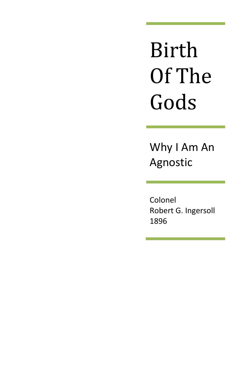Birth Of The Gods

Why I Am An Agnostic

Colonel Robert G. Ingersoll 1896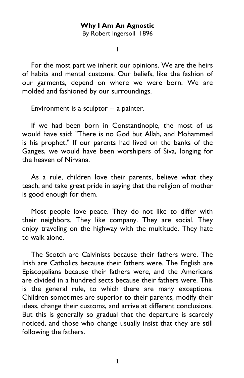## **Why I Am An Agnostic**

By Robert Ingersoll 1896

I

For the most part we inherit our opinions. We are the heirs of habits and mental customs. Our beliefs, like the fashion of our garments, depend on where we were born. We are molded and fashioned by our surroundings.

Environment is a sculptor -- a painter.

If we had been born in Constantinople, the most of us would have said: "There is no God but Allah, and Mohammed is his prophet." If our parents had lived on the banks of the Ganges, we would have been worshipers of Siva, longing for the heaven of Nirvana.

As a rule, children love their parents, believe what they teach, and take great pride in saying that the religion of mother is good enough for them.

Most people love peace. They do not like to differ with their neighbors. They like company. They are social. They enjoy traveling on the highway with the multitude. They hate to walk alone.

The Scotch are Calvinists because their fathers were. The Irish are Catholics because their fathers were. The English are Episcopalians because their fathers were, and the Americans are divided in a hundred sects because their fathers were. This is the general rule, to which there are many exceptions. Children sometimes are superior to their parents, modify their ideas, change their customs, and arrive at different conclusions. But this is generally so gradual that the departure is scarcely noticed, and those who change usually insist that they are still following the fathers.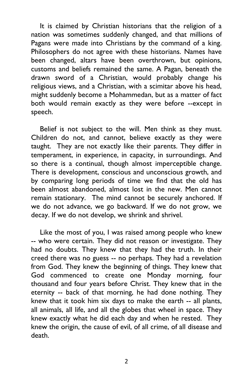It is claimed by Christian historians that the religion of a nation was sometimes suddenly changed, and that millions of Pagans were made into Christians by the command of a king. Philosophers do not agree with these historians. Names have been changed, altars have been overthrown, but opinions, customs and beliefs remained the same. A Pagan, beneath the drawn sword of a Christian, would probably change his religious views, and a Christian, with a scimitar above his head, might suddenly become a Mohammedan, but as a matter of fact both would remain exactly as they were before --except in speech.

Belief is not subject to the will. Men think as they must. Children do not, and cannot, believe exactly as they were taught. They are not exactly like their parents. They differ in temperament, in experience, in capacity, in surroundings. And so there is a continual, though almost imperceptible change. There is development, conscious and unconscious growth, and by comparing long periods of time we find that the old has been almost abandoned, almost lost in the new. Men cannot remain stationary. The mind cannot be securely anchored. If we do not advance, we go backward. If we do not grow, we decay. If we do not develop, we shrink and shrivel.

Like the most of you, I was raised among people who knew -- who were certain. They did not reason or investigate. They had no doubts. They knew that they had the truth. In their creed there was no guess -- no perhaps. They had a revelation from God. They knew the beginning of things. They knew that God commenced to create one Monday morning, four thousand and four years before Christ. They knew that in the eternity -- back of that morning, he had done nothing. They knew that it took him six days to make the earth -- all plants, all animals, all life, and all the globes that wheel in space. They knew exactly what he did each day and when he rested. They knew the origin, the cause of evil, of all crime, of all disease and death.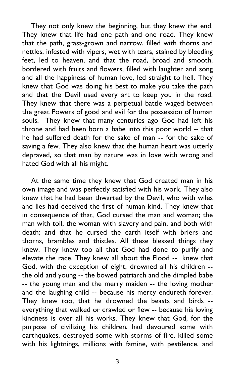They not only knew the beginning, but they knew the end. They knew that life had one path and one road. They knew that the path, grass-grown and narrow, filled with thorns and nettles, infested with vipers, wet with tears, stained by bleeding feet, led to heaven, and that the road, broad and smooth, bordered with fruits and flowers, filled with laughter and song and all the happiness of human love, led straight to hell. They knew that God was doing his best to make you take the path and that the Devil used every art to keep you in the road. They knew that there was a perpetual battle waged between the great Powers of good and evil for the possession of human souls. They knew that many centuries ago God had left his throne and had been born a babe into this poor world -- that he had suffered death for the sake of man -- for the sake of saving a few. They also knew that the human heart was utterly depraved, so that man by nature was in love with wrong and hated God with all his might.

At the same time they knew that God created man in his own image and was perfectly satisfied with his work. They also knew that he had been thwarted by the Devil, who with wiles and lies had deceived the first of human kind. They knew that in consequence of that, God cursed the man and woman; the man with toil, the woman with slavery and pain, and both with death; and that he cursed the earth itself with briers and thorns, brambles and thistles. All these blessed things they knew. They knew too all that God had done to purify and elevate the race. They knew all about the Flood -- knew that God, with the exception of eight, drowned all his children - the old and young -- the bowed patriarch and the dimpled babe -- the young man and the merry maiden -- the loving mother and the laughing child -- because his mercy endureth forever. They knew too, that he drowned the beasts and birds - everything that walked or crawled or flew -- because his loving kindness is over all his works. They knew that God, for the purpose of civilizing his children, had devoured some with earthquakes, destroyed some with storms of fire, killed some with his lightnings, millions with famine, with pestilence, and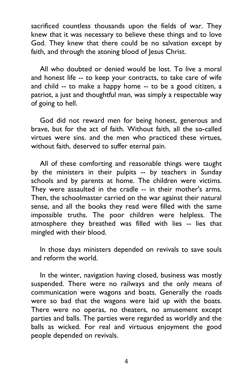sacrificed countless thousands upon the fields of war. They knew that it was necessary to believe these things and to love God. They knew that there could be no salvation except by faith, and through the atoning blood of Jesus Christ.

All who doubted or denied would be lost. To live a moral and honest life -- to keep your contracts, to take care of wife and child -- to make a happy home -- to be a good citizen, a patriot, a just and thoughtful man, was simply a respectable way of going to hell.

God did not reward men for being honest, generous and brave, but for the act of faith. Without faith, all the so-called virtues were sins. and the men who practiced these virtues, without faith, deserved to suffer eternal pain.

All of these comforting and reasonable things were taught by the ministers in their pulpits -- by teachers in Sunday schools and by parents at home. The children were victims. They were assaulted in the cradle -- in their mother's arms. Then, the schoolmaster carried on the war against their natural sense, and all the books they read were filled with the same impossible truths. The poor children were helpless. The atmosphere they breathed was filled with lies -- lies that mingled with their blood.

In those days ministers depended on revivals to save souls and reform the world.

In the winter, navigation having closed, business was mostly suspended. There were no railways and the only means of communication were wagons and boats. Generally the roads were so bad that the wagons were laid up with the boats. There were no operas, no theaters, no amusement except parties and balls. The parties were regarded as worldly and the balls as wicked. For real and virtuous enjoyment the good people depended on revivals.

4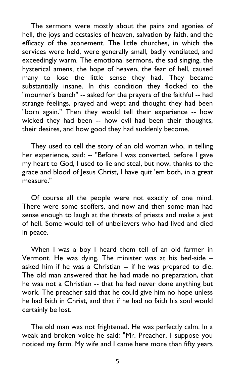The sermons were mostly about the pains and agonies of hell, the joys and ecstasies of heaven, salvation by faith, and the efficacy of the atonement. The little churches, in which the services were held, were generally small, badly ventilated, and exceedingly warm. The emotional sermons, the sad singing, the hysterical amens, the hope of heaven, the fear of hell, caused many to lose the little sense they had. They became substantially insane. In this condition they flocked to the "mourner's bench" -- asked for the prayers of the faithful -- had strange feelings, prayed and wept and thought they had been "born again." Then they would tell their experience -- how wicked they had been -- how evil had been their thoughts, their desires, and how good they had suddenly become.

They used to tell the story of an old woman who, in telling her experience, said: -- "Before I was converted, before I gave my heart to God, I used to lie and steal, but now, thanks to the grace and blood of Jesus Christ, I have quit 'em both, in a great measure."

Of course all the people were not exactly of one mind. There were some scoffers, and now and then some man had sense enough to laugh at the threats of priests and make a jest of hell. Some would tell of unbelievers who had lived and died in peace.

When I was a boy I heard them tell of an old farmer in Vermont. He was dying. The minister was at his bed-side – asked him if he was a Christian -- if he was prepared to die. The old man answered that he had made no preparation, that he was not a Christian -- that he had never done anything but work. The preacher said that he could give him no hope unless he had faith in Christ, and that if he had no faith his soul would certainly be lost.

The old man was not frightened. He was perfectly calm. In a weak and broken voice he said: "Mr. Preacher, I suppose you noticed my farm. My wife and I came here more than fifty years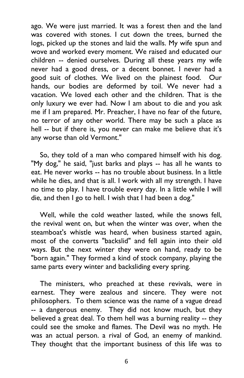ago. We were just married. It was a forest then and the land was covered with stones. I cut down the trees, burned the logs, picked up the stones and laid the walls. My wife spun and wove and worked every moment. We raised and educated our children -- denied ourselves. During all these years my wife never had a good dress, or a decent bonnet. I never had a good suit of clothes. We lived on the plainest food. Our hands, our bodies are deformed by toil. We never had a vacation. We loved each other and the children. That is the only luxury we ever had. Now I am about to die and you ask me if I am prepared. Mr. Preacher, I have no fear of the future, no terror of any other world. There may be such a place as hell -- but if there is, you never can make me believe that it's any worse than old Vermont."

So, they told of a man who compared himself with his dog. "My dog," he said, "just barks and plays -- has all he wants to eat. He never works -- has no trouble about business. In a little while he dies, and that is all. I work with all my strength. I have no time to play. I have trouble every day. In a little while I will die, and then I go to hell. I wish that I had been a dog."

Well, while the cold weather lasted, while the snows fell, the revival went on, but when the winter was over, when the steamboat's whistle was heard, when business started again, most of the converts "backslid" and fell again into their old ways. But the next winter they were on hand, ready to be "born again." They formed a kind of stock company, playing the same parts every winter and backsliding every spring.

The ministers, who preached at these revivals, were in earnest. They were zealous and sincere. They were not philosophers. To them science was the name of a vague dread -- a dangerous enemy. They did not know much, but they believed a great deal. To them hell was a burning reality -- they could see the smoke and flames. The Devil was no myth. He was an actual person. a rival of God, an enemy of mankind. They thought that the important business of this life was to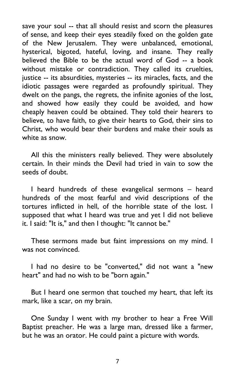save your soul -- that all should resist and scorn the pleasures of sense, and keep their eyes steadily fixed on the golden gate of the New Jerusalem. They were unbalanced, emotional, hysterical, bigoted, hateful, loving, and insane. They really believed the Bible to be the actual word of God -- a book without mistake or contradiction. They called its cruelties, justice -- its absurdities, mysteries -- its miracles, facts, and the idiotic passages were regarded as profoundly spiritual. They dwelt on the pangs, the regrets, the infinite agonies of the lost, and showed how easily they could be avoided, and how cheaply heaven could be obtained. They told their hearers to believe, to have faith, to give their hearts to God, their sins to Christ, who would bear their burdens and make their souls as white as snow.

All this the ministers really believed. They were absolutely certain. In their minds the Devil had tried in vain to sow the seeds of doubt.

I heard hundreds of these evangelical sermons – heard hundreds of the most fearful and vivid descriptions of the tortures inflicted in hell, of the horrible state of the lost. I supposed that what I heard was true and yet I did not believe it. I said: "It is," and then I thought: "It cannot be."

These sermons made but faint impressions on my mind. I was not convinced.

I had no desire to be "converted," did not want a "new heart" and had no wish to be "born again."

But I heard one sermon that touched my heart, that left its mark, like a scar, on my brain.

One Sunday I went with my brother to hear a Free Will Baptist preacher. He was a large man, dressed like a farmer, but he was an orator. He could paint a picture with words.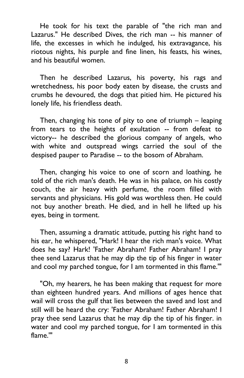He took for his text the parable of "the rich man and Lazarus." He described Dives, the rich man -- his manner of life, the excesses in which he indulged, his extravagance, his riotous nights, his purple and fine linen, his feasts, his wines, and his beautiful women.

Then he described Lazarus, his poverty, his rags and wretchedness, his poor body eaten by disease, the crusts and crumbs he devoured, the dogs that pitied him. He pictured his lonely life, his friendless death.

Then, changing his tone of pity to one of triumph – leaping from tears to the heights of exultation -- from defeat to victory-- he described the glorious company of angels, who with white and outspread wings carried the soul of the despised pauper to Paradise -- to the bosom of Abraham.

Then, changing his voice to one of scorn and loathing, he told of the rich man's death. He was in his palace, on his costly couch, the air heavy with perfume, the room filled with servants and physicians. His gold was worthless then. He could not buy another breath. He died, and in hell he lifted up his eyes, being in torment.

Then, assuming a dramatic attitude, putting his right hand to his ear, he whispered, "Hark! I hear the rich man's voice. What does he say? Hark! 'Father Abraham! Father Abraham! I pray thee send Lazarus that he may dip the tip of his finger in water and cool my parched tongue, for I am tormented in this flame.'"

"Oh, my hearers, he has been making that request for more than eighteen hundred years. And millions of ages hence that wail will cross the gulf that lies between the saved and lost and still will be heard the cry: 'Father Abraham! Father Abraham! I pray thee send Lazarus that he may dip the tip of his finger. in water and cool my parched tongue, for I am tormented in this flame.'"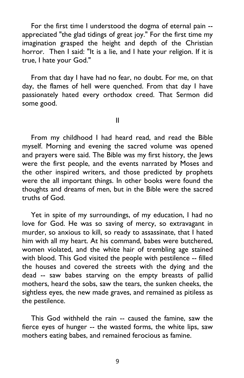For the first time I understood the dogma of eternal pain - appreciated "the glad tidings of great joy." For the first time my imagination grasped the height and depth of the Christian horror. Then I said: "It is a lie, and I hate your religion. If it is true, I hate your God."

From that day I have had no fear, no doubt. For me, on that day, the flames of hell were quenched. From that day I have passionately hated every orthodox creed. That Sermon did some good.

II

From my childhood I had heard read, and read the Bible myself. Morning and evening the sacred volume was opened and prayers were said. The Bible was my first history, the Jews were the first people, and the events narrated by Moses and the other inspired writers, and those predicted by prophets were the all important things. In other books were found the thoughts and dreams of men, but in the Bible were the sacred truths of God.

Yet in spite of my surroundings, of my education, I had no love for God. He was so saving of mercy, so extravagant in murder, so anxious to kill, so ready to assassinate, that I hated him with all my heart. At his command, babes were butchered, women violated, and the white hair of trembling age stained with blood. This God visited the people with pestilence -- filled the houses and covered the streets with the dying and the dead -- saw babes starving on the empty breasts of pallid mothers, heard the sobs, saw the tears, the sunken cheeks, the sightless eyes, the new made graves, and remained as pitiless as the pestilence.

This God withheld the rain -- caused the famine, saw the fierce eyes of hunger -- the wasted forms, the white lips, saw mothers eating babes, and remained ferocious as famine.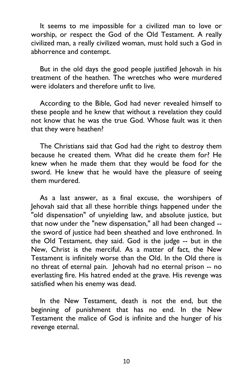It seems to me impossible for a civilized man to love or worship, or respect the God of the Old Testament. A really civilized man, a really civilized woman, must hold such a God in abhorrence and contempt.

But in the old days the good people justified Jehovah in his treatment of the heathen. The wretches who were murdered were idolaters and therefore unfit to live.

According to the Bible, God had never revealed himself to these people and he knew that without a revelation they could not know that he was the true God. Whose fault was it then that they were heathen?

The Christians said that God had the right to destroy them because he created them. What did he create them for? He knew when he made them that they would be food for the sword. He knew that he would have the pleasure of seeing them murdered.

As a last answer, as a final excuse, the worshipers of lehovah said that all these horrible things happened under the "old dispensation" of unyielding law, and absolute justice, but that now under the "new dispensation," all had been changed - the sword of justice had been sheathed and love enthroned. In the Old Testament, they said. God is the judge -- but in the New, Christ is the merciful. As a matter of fact, the New Testament is infinitely worse than the Old. In the Old there is no threat of eternal pain. Jehovah had no eternal prison -- no everlasting fire. His hatred ended at the grave. His revenge was satisfied when his enemy was dead.

In the New Testament, death is not the end, but the beginning of punishment that has no end. In the New Testament the malice of God is infinite and the hunger of his revenge eternal.

10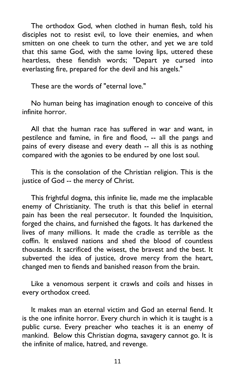The orthodox God, when clothed in human flesh, told his disciples not to resist evil, to love their enemies, and when smitten on one cheek to turn the other, and yet we are told that this same God, with the same loving lips, uttered these heartless, these fiendish words; "Depart ye cursed into everlasting fire, prepared for the devil and his angels."

These are the words of "eternal love."

No human being has imagination enough to conceive of this infinite horror.

All that the human race has suffered in war and want, in pestilence and famine, in fire and flood, -- all the pangs and pains of every disease and every death -- all this is as nothing compared with the agonies to be endured by one lost soul.

This is the consolation of the Christian religion. This is the justice of God -- the mercy of Christ.

This frightful dogma, this infinite lie, made me the implacable enemy of Christianity. The truth is that this belief in eternal pain has been the real persecutor. It founded the Inquisition, forged the chains, and furnished the fagots. It has darkened the lives of many millions. It made the cradle as terrible as the coffin. It enslaved nations and shed the blood of countless thousands. It sacrificed the wisest, the bravest and the best. It subverted the idea of justice, drove mercy from the heart, changed men to fiends and banished reason from the brain.

Like a venomous serpent it crawls and coils and hisses in every orthodox creed.

It makes man an eternal victim and God an eternal fiend. It is the one infinite horror. Every church in which it is taught is a public curse. Every preacher who teaches it is an enemy of mankind. Below this Christian dogma, savagery cannot go. It is the infinite of malice, hatred, and revenge.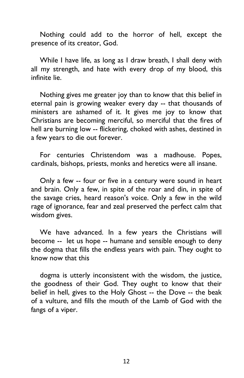Nothing could add to the horror of hell, except the presence of its creator, God.

While I have life, as long as I draw breath, I shall deny with all my strength, and hate with every drop of my blood, this infinite lie.

Nothing gives me greater joy than to know that this belief in eternal pain is growing weaker every day -- that thousands of ministers are ashamed of it. It gives me joy to know that Christians are becoming merciful, so merciful that the fires of hell are burning low -- flickering, choked with ashes, destined in a few years to die out forever.

For centuries Christendom was a madhouse. Popes, cardinals, bishops, priests, monks and heretics were all insane.

Only a few -- four or five in a century were sound in heart and brain. Only a few, in spite of the roar and din, in spite of the savage cries, heard reason's voice. Only a few in the wild rage of ignorance, fear and zeal preserved the perfect calm that wisdom gives.

We have advanced. In a few years the Christians will become -- let us hope -- humane and sensible enough to deny the dogma that fills the endless years with pain. They ought to know now that this

dogma is utterly inconsistent with the wisdom, the justice, the goodness of their God. They ought to know that their belief in hell, gives to the Holy Ghost -- the Dove -- the beak of a vulture, and fills the mouth of the Lamb of God with the fangs of a viper.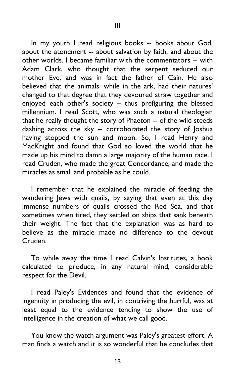In my youth I read religious books -- books about God, about the atonement -- about salvation by faith, and about the other worlds. I became familiar with the commentators -- with Adam Clark, who thought that the serpent seduced our mother Eve, and was in fact the father of Cain. He also believed that the animals, while in the ark, had their natures' changed to that degree that they devoured straw together and enjoyed each other's society – thus prefiguring the blessed millennium. I read Scott, who was such a natural theologian that he really thought the story of Phaeton -- of the wild steeds dashing across the sky -- corroborated the story of Joshua having stopped the sun and moon. So, I read Henry and MacKnight and found that God so loved the world that he made up his mind to damn a large majority of the human race. I read Cruden, who made the great Concordance, and made the miracles as small and probable as he could.

I remember that he explained the miracle of feeding the wandering Jews with quails, by saying that even at this day immense numbers of quails crossed the Red Sea, and that sometimes when tired, they settled on ships that sank beneath their weight. The fact that the explanation was as hard to believe as the miracle made no difference to the devout Cruden.

To while away the time I read Calvin's Institutes, a book calculated to produce, in any natural mind, considerable respect for the Devil.

I read Paley's Evidences and found that the evidence of ingenuity in producing the evil, in contriving the hurtful, was at least equal to the evidence tending to show the use of intelligence in the creation of what we call good.

You know the watch argument was Paley's greatest effort. A man finds a watch and it is so wonderful that he concludes that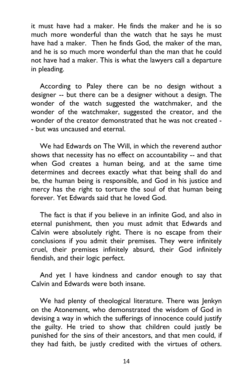it must have had a maker. He finds the maker and he is so much more wonderful than the watch that he says he must have had a maker. Then he finds God, the maker of the man, and he is so much more wonderful than the man that he could not have had a maker. This is what the lawyers call a departure in pleading.

According to Paley there can be no design without a designer -- but there can be a designer without a design. The wonder of the watch suggested the watchmaker, and the wonder of the watchmaker, suggested the creator, and the wonder of the creator demonstrated that he was not created - - but was uncaused and eternal.

We had Edwards on The Will, in which the reverend author shows that necessity has no effect on accountability -- and that when God creates a human being, and at the same time determines and decrees exactly what that being shall do and be, the human being is responsible, and God in his justice and mercy has the right to torture the soul of that human being forever. Yet Edwards said that he loved God.

The fact is that if you believe in an infinite God, and also in eternal punishment, then you must admit that Edwards and Calvin were absolutely right. There is no escape from their conclusions if you admit their premises. They were infinitely cruel, their premises infinitely absurd, their God infinitely fiendish, and their logic perfect.

And yet I have kindness and candor enough to say that Calvin and Edwards were both insane.

We had plenty of theological literature. There was Jenkyn on the Atonement, who demonstrated the wisdom of God in devising a way in which the sufferings of innocence could justify the guilty. He tried to show that children could justly be punished for the sins of their ancestors, and that men could, if they had faith, be justly credited with the virtues of others.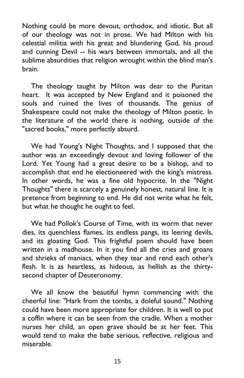Nothing could be more devout, orthodox, and idiotic. But all of our theology was not in prose. We had Milton with his celestial militia with his great and blundering God, his proud and cunning Devil -- his wars between immortals, and all the sublime absurdities that religion wrought within the blind man's brain.

The theology taught by Milton was dear to the Puritan heart. It was accepted by New England and it poisoned the souls and ruined the lives of thousands. The genius of Shakespeare could not make the theology of Milton poetic. In the literature of the world there is nothing, outside of the "sacred books," more perfectly absurd.

We had Young's Night Thoughts, and I supposed that the author was an exceedingly devout and loving follower of the Lord. Yet Young had a great desire to be a bishop, and to accomplish that end he electioneered with the king's mistress. In other words, he was a fine old hypocrite. In the "Night Thoughts" there is scarcely a genuinely honest, natural line. It is pretence from beginning to end. He did not write what he felt, but what he thought he ought to feel.

We had Pollok's Course of Time, with its worm that never dies, its quenchless flames, its endless pangs, its leering devils, and its gloating God. This frightful poem should have been written in a madhouse. In it you find all the cries and groans and shrieks of maniacs, when they tear and rend each other's flesh. It is as heartless, as hideous, as hellish as the thirtysecond chapter of Deuteronomy.

We all know the beautiful hymn commencing with the cheerful line: "Hark from the tombs, a doleful sound." Nothing could have been more appropriate for children. It is well to put a coffin where it can be seen from the cradle. When a mother nurses her child, an open grave should be at her feet. This would tend to make the babe serious, reflective, religious and miserable.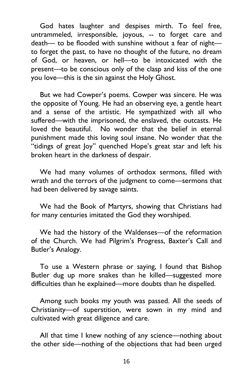God hates laughter and despises mirth. To feel free, untrammeled, irresponsible, joyous, -- to forget care and death— to be flooded with sunshine without a fear of night to forget the past, to have no thought of the future, no dream of God, or heaven, or hell—to be intoxicated with the present—to be conscious only of the clasp and kiss of the one you love—this is the sin against the Holy Ghost.

But we had Cowper's poems. Cowper was sincere. He was the opposite of Young. He had an observing eye, a gentle heart and a sense of the artistic. He sympathized with all who suffered—with the imprisoned, the enslaved, the outcasts. He loved the beautiful. No wonder that the belief in eternal punishment made this loving soul insane. No wonder that the "tidings of great Joy" quenched Hope's great star and left his broken heart in the darkness of despair.

We had many volumes of orthodox sermons, filled with wrath and the terrors of the judgment to come—sermons that had been delivered by savage saints.

We had the Book of Martyrs, showing that Christians had for many centuries imitated the God they worshiped.

We had the history of the Waldenses—of the reformation of the Church. We had Pilgrim's Progress, Baxter's Call and Butler's Analogy.

To use a Western phrase or saying, I found that Bishop Butler dug up more snakes than he killed—suggested more difficulties than he explained—more doubts than he dispelled.

Among such books my youth was passed. All the seeds of Christianity—of superstition, were sown in my mind and cultivated with great diligence and care.

All that time I knew nothing of any science—nothing about the other side—nothing of the objections that had been urged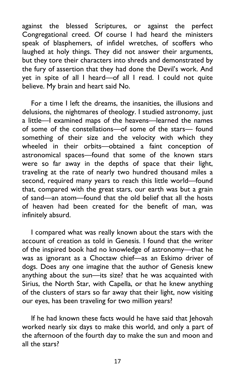against the blessed Scriptures, or against the perfect Congregational creed. Of course I had heard the ministers speak of blasphemers, of infidel wretches, of scoffers who laughed at holy things. They did not answer their arguments, but they tore their characters into shreds and demonstrated by the fury of assertion that they had done the Devil's work. And yet in spite of all I heard—of all I read. I could not quite believe. My brain and heart said No.

For a time I left the dreams, the insanities, the illusions and delusions, the nightmares of theology. I studied astronomy, just a little—I examined maps of the heavens—learned the names of some of the constellations—of some of the stars— found something of their size and the velocity with which they wheeled in their orbits—obtained a faint conception of astronomical spaces—found that some of the known stars were so far away in the depths of space that their light, traveling at the rate of nearly two hundred thousand miles a second, required many years to reach this little world—found that, compared with the great stars, our earth was but a grain of sand—an atom—found that the old belief that all the hosts of heaven had been created for the benefit of man, was infinitely absurd.

I compared what was really known about the stars with the account of creation as told in Genesis. I found that the writer of the inspired book had no knowledge of astronomy—that he was as ignorant as a Choctaw chief—as an Eskimo driver of dogs. Does any one imagine that the author of Genesis knew anything about the sun—its size? that he was acquainted with Sirius, the North Star, with Capella, or that he knew anything of the clusters of stars so far away that their light, now visiting our eyes, has been traveling for two million years?

If he had known these facts would he have said that Jehovah worked nearly six days to make this world, and only a part of the afternoon of the fourth day to make the sun and moon and all the stars?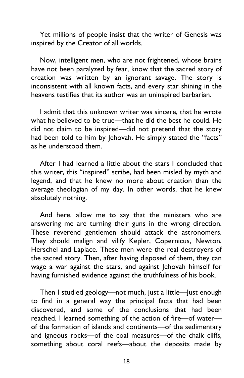Yet millions of people insist that the writer of Genesis was inspired by the Creator of all worlds.

Now, intelligent men, who are not frightened, whose brains have not been paralyzed by fear, know that the sacred story of creation was written by an ignorant savage. The story is inconsistent with all known facts, and every star shining in the heavens testifies that its author was an uninspired barbarian.

I admit that this unknown writer was sincere, that he wrote what he believed to be true—that he did the best he could. He did not claim to be inspired—did not pretend that the story had been told to him by Jehovah. He simply stated the "facts" as he understood them.

After I had learned a little about the stars I concluded that this writer, this "inspired" scribe, had been misled by myth and legend, and that he knew no more about creation than the average theologian of my day. In other words, that he knew absolutely nothing.

And here, allow me to say that the ministers who are answering me are turning their guns in the wrong direction. These reverend gentlemen should attack the astronomers. They should malign and vilify Kepler, Copernicus, Newton, Herschel and Laplace. These men were the real destroyers of the sacred story. Then, after having disposed of them, they can wage a war against the stars, and against Jehovah himself for having furnished evidence against the truthfulness of his book.

Then I studied geology—not much, just a little—Just enough to find in a general way the principal facts that had been discovered, and some of the conclusions that had been reached. I learned something of the action of fire—of water of the formation of islands and continents—of the sedimentary and igneous rocks—of the coal measures—of the chalk cliffs, something about coral reefs—about the deposits made by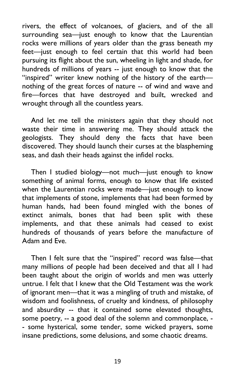rivers, the effect of volcanoes, of glaciers, and of the all surrounding sea—just enough to know that the Laurentian rocks were millions of years older than the grass beneath my feet—just enough to feel certain that this world had been pursuing its flight about the sun, wheeling in light and shade, for hundreds of millions of years -- just enough to know that the "inspired" writer knew nothing of the history of the earth nothing of the great forces of nature -- of wind and wave and fire—forces that have destroyed and built, wrecked and wrought through all the countless years.

And let me tell the ministers again that they should not waste their time in answering me. They should attack the geologists. They should deny the facts that have been discovered. They should launch their curses at the blaspheming seas, and dash their heads against the infidel rocks.

Then I studied biology—not much—just enough to know something of animal forms, enough to know that life existed when the Laurentian rocks were made—just enough to know that implements of stone, implements that had been formed by human hands, had been found mingled with the bones of extinct animals, bones that had been split with these implements, and that these animals had ceased to exist hundreds of thousands of years before the manufacture of Adam and Eve.

Then I felt sure that the "inspired" record was false—that many millions of people had been deceived and that all I had been taught about the origin of worlds and men was utterly untrue. I felt that I knew that the Old Testament was the work of ignorant men—that it was a mingling of truth and mistake, of wisdom and foolishness, of cruelty and kindness, of philosophy and absurdity -- that it contained some elevated thoughts, some poetry, -- a good deal of the solemn and commonplace, - - some hysterical, some tender, some wicked prayers, some insane predictions, some delusions, and some chaotic dreams.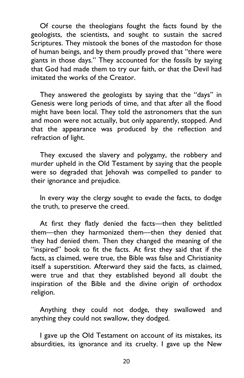Of course the theologians fought the facts found by the geologists, the scientists, and sought to sustain the sacred Scriptures. They mistook the bones of the mastodon for those of human beings, and by them proudly proved that "there were giants in those days." They accounted for the fossils by saying that God had made them to try our faith, or that the Devil had imitated the works of the Creator.

They answered the geologists by saying that the "days" in Genesis were long periods of time, and that after all the flood might have been local. They told the astronomers that the sun and moon were not actually, but only apparently, stopped. And that the appearance was produced by the reflection and refraction of light.

They excused the slavery and polygamy, the robbery and murder upheld in the Old Testament by saying that the people were so degraded that Jehovah was compelled to pander to their ignorance and prejudice.

In every way the clergy sought to evade the facts, to dodge the truth, to preserve the creed.

At first they flatly denied the facts—then they belittled them—then they harmonized them—then they denied that they had denied them. Then they changed the meaning of the "inspired" book to fit the facts. At first they said that if the facts, as claimed, were true, the Bible was false and Christianity itself a superstition. Afterward they said the facts, as claimed, were true and that they established beyond all doubt the inspiration of the Bible and the divine origin of orthodox religion.

Anything they could not dodge, they swallowed and anything they could not swallow, they dodged.

I gave up the Old Testament on account of its mistakes, its absurdities, its ignorance and its cruelty. I gave up the New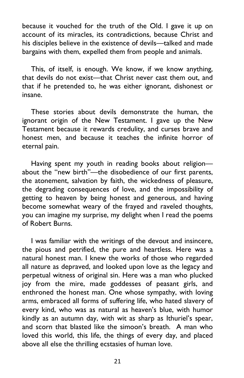because it vouched for the truth of the Old. I gave it up on account of its miracles, its contradictions, because Christ and his disciples believe in the existence of devils—talked and made bargains with them, expelled them from people and animals.

This, of itself, is enough. We know, if we know anything, that devils do not exist—that Christ never cast them out, and that if he pretended to, he was either ignorant, dishonest or insane.

These stories about devils demonstrate the human, the ignorant origin of the New Testament. I gave up the New Testament because it rewards credulity, and curses brave and honest men, and because it teaches the infinite horror of eternal pain.

Having spent my youth in reading books about religion about the "new birth"—the disobedience of our first parents, the atonement, salvation by faith, the wickedness of pleasure, the degrading consequences of love, and the impossibility of getting to heaven by being honest and generous, and having become somewhat weary of the frayed and raveled thoughts, you can imagine my surprise, my delight when I read the poems of Robert Burns.

I was familiar with the writings of the devout and insincere, the pious and petrified, the pure and heartless. Here was a natural honest man. I knew the works of those who regarded all nature as depraved, and looked upon love as the legacy and perpetual witness of original sin. Here was a man who plucked joy from the mire, made goddesses of peasant girls, and enthroned the honest man. One whose sympathy, with loving arms, embraced all forms of suffering life, who hated slavery of every kind, who was as natural as heaven's blue, with humor kindly as an autumn day, with wit as sharp as Ithuriel's spear, and scorn that blasted like the simoon's breath. A man who loved this world, this life, the things of every day, and placed above all else the thrilling ecstasies of human love.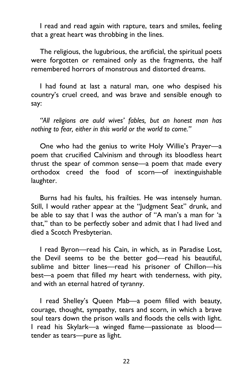I read and read again with rapture, tears and smiles, feeling that a great heart was throbbing in the lines.

The religious, the lugubrious, the artificial, the spiritual poets were forgotten or remained only as the fragments, the half remembered horrors of monstrous and distorted dreams.

I had found at last a natural man, one who despised his country's cruel creed, and was brave and sensible enough to say:

*"All religions are auld wives' fables, but an honest man has nothing to fear, either in this world or the world to come."*

One who had the genius to write Holy Willie's Prayer—a poem that crucified Calvinism and through its bloodless heart thrust the spear of common sense—a poem that made every orthodox creed the food of scorn—of inextinguishable laughter.

Burns had his faults, his frailties. He was intensely human. Still, I would rather appear at the "Judgment Seat" drunk, and be able to say that I was the author of "A man's a man for 'a that," than to be perfectly sober and admit that I had lived and died a Scotch Presbyterian.

I read Byron—read his Cain, in which, as in Paradise Lost, the Devil seems to be the better god—read his beautiful, sublime and bitter lines—read his prisoner of Chillon—his best—a poem that filled my heart with tenderness, with pity, and with an eternal hatred of tyranny.

I read Shelley's Queen Mab—a poem filled with beauty, courage, thought, sympathy, tears and scorn, in which a brave soul tears down the prison walls and floods the cells with light. I read his Skylark—a winged flame—passionate as blood tender as tears—pure as light.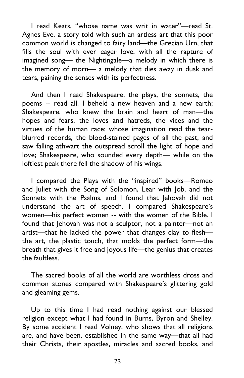I read Keats, "whose name was writ in water"—read St. Agnes Eve, a story told with such an artless art that this poor common world is changed to fairy land—the Grecian Urn, that fills the soul with ever eager love, with all the rapture of imagined song— the Nightingale—a melody in which there is the memory of morn— a melody that dies away in dusk and tears, paining the senses with its perfectness.

And then I read Shakespeare, the plays, the sonnets, the poems -- read all. I beheld a new heaven and a new earth; Shakespeare, who knew the brain and heart of man—the hopes and fears, the loves and hatreds, the vices and the virtues of the human race: whose imagination read the tearblurred records, the blood-stained pages of all the past, and saw falling athwart the outspread scroll the light of hope and love; Shakespeare, who sounded every depth— while on the loftiest peak there fell the shadow of his wings.

I compared the Plays with the "inspired" books—Romeo and Juliet with the Song of Solomon, Lear with Job, and the Sonnets with the Psalms, and I found that Jehovah did not understand the art of speech. I compared Shakespeare's women—his perfect women -- with the women of the Bible. I found that Jehovah was not a sculptor, not a painter—not an artist—that he lacked the power that changes clay to flesh the art, the plastic touch, that molds the perfect form—the breath that gives it free and joyous life—the genius that creates the faultless.

The sacred books of all the world are worthless dross and common stones compared with Shakespeare's glittering gold and gleaming gems.

Up to this time I had read nothing against our blessed religion except what I had found in Burns, Byron and Shelley. By some accident I read Volney, who shows that all religions are, and have been, established in the same way—that all had their Christs, their apostles, miracles and sacred books, and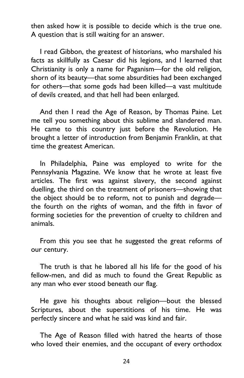then asked how it is possible to decide which is the true one. A question that is still waiting for an answer.

I read Gibbon, the greatest of historians, who marshaled his facts as skillfully as Caesar did his legions, and I learned that Christianity is only a name for Paganism—for the old religion, shorn of its beauty—that some absurdities had been exchanged for others—that some gods had been killed—a vast multitude of devils created, and that hell had been enlarged.

And then I read the Age of Reason, by Thomas Paine. Let me tell you something about this sublime and slandered man. He came to this country just before the Revolution. He brought a letter of introduction from Benjamin Franklin, at that time the greatest American.

In Philadelphia, Paine was employed to write for the Pennsylvania Magazine. We know that he wrote at least five articles. The first was against slavery, the second against duelling, the third on the treatment of prisoners—showing that the object should be to reform, not to punish and degrade the fourth on the rights of woman, and the fifth in favor of forming societies for the prevention of cruelty to children and animals.

From this you see that he suggested the great reforms of our century.

The truth is that he labored all his life for the good of his fellow-men, and did as much to found the Great Republic as any man who ever stood beneath our flag.

He gave his thoughts about religion—bout the blessed Scriptures, about the superstitions of his time. He was perfectly sincere and what he said was kind and fair.

The Age of Reason filled with hatred the hearts of those who loved their enemies, and the occupant of every orthodox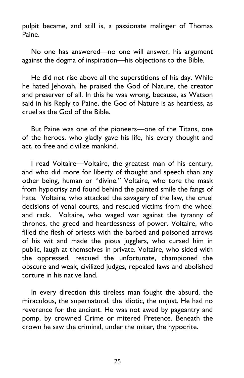pulpit became, and still is, a passionate malinger of Thomas Paine.

No one has answered—no one will answer, his argument against the dogma of inspiration—his objections to the Bible.

He did not rise above all the superstitions of his day. While he hated Jehovah, he praised the God of Nature, the creator and preserver of all. In this he was wrong, because, as Watson said in his Reply to Paine, the God of Nature is as heartless, as cruel as the God of the Bible.

But Paine was one of the pioneers—one of the Titans, one of the heroes, who gladly gave his life, his every thought and act, to free and civilize mankind.

I read Voltaire—Voltaire, the greatest man of his century, and who did more for liberty of thought and speech than any other being, human or "divine." Voltaire, who tore the mask from hypocrisy and found behind the painted smile the fangs of hate. Voltaire, who attacked the savagery of the law, the cruel decisions of venal courts, and rescued victims from the wheel and rack. Voltaire, who waged war against the tyranny of thrones, the greed and heartlessness of power. Voltaire, who filled the flesh of priests with the barbed and poisoned arrows of his wit and made the pious jugglers, who cursed him in public, laugh at themselves in private. Voltaire, who sided with the oppressed, rescued the unfortunate, championed the obscure and weak, civilized judges, repealed laws and abolished torture in his native land.

In every direction this tireless man fought the absurd, the miraculous, the supernatural, the idiotic, the unjust. He had no reverence for the ancient. He was not awed by pageantry and pomp, by crowned Crime or mitered Pretence. Beneath the crown he saw the criminal, under the miter, the hypocrite.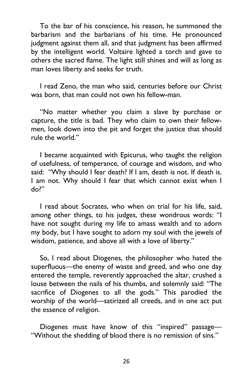To the bar of his conscience, his reason, he summoned the barbarism and the barbarians of his time. He pronounced judgment against them all, and that judgment has been affirmed by the intelligent world. Voltaire lighted a torch and gave to others the sacred flame. The light still shines and will as long as man loves liberty and seeks for truth.

I read Zeno, the man who said, centuries before our Christ was born, that man could not own his fellow-man.

"No matter whether you claim a slave by purchase or capture, the title is bad. They who claim to own their fellowmen, look down into the pit and forget the justice that should rule the world."

I became acquainted with Epicurus, who taught the religion of usefulness, of temperance, of courage and wisdom, and who said: "Why should I fear death? If I am, death is not. If death is. I am not. Why should I fear that which cannot exist when I do?"

I read about Socrates, who when on trial for his life, said, among other things, to his judges, these wondrous words: "I have not sought during my life to amass wealth and to adorn my body, but I have sought to adorn my soul with the jewels of wisdom, patience, and above all with a love of liberty."

So, I read about Diogenes, the philosopher who hated the superfluous—the enemy of waste and greed, and who one day entered the temple, reverently approached the altar, crushed a louse between the nails of his thumbs, and solemnly said: "The sacrifice of Diogenes to all the gods." This parodied the worship of the world—satirized all creeds, and in one act put the essence of religion.

Diogenes must have know of this "inspired" passage— "Without the shedding of blood there is no remission of sins."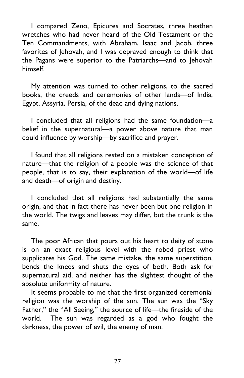I compared Zeno, Epicures and Socrates, three heathen wretches who had never heard of the Old Testament or the Ten Commandments, with Abraham, Isaac and Jacob, three favorites of Jehovah, and I was depraved enough to think that the Pagans were superior to the Patriarchs—and to Jehovah himself.

My attention was turned to other religions, to the sacred books, the creeds and ceremonies of other lands—of India, Egypt, Assyria, Persia, of the dead and dying nations.

I concluded that all religions had the same foundation—a belief in the supernatural—a power above nature that man could influence by worship—by sacrifice and prayer.

I found that all religions rested on a mistaken conception of nature—that the religion of a people was the science of that people, that is to say, their explanation of the world—of life and death—of origin and destiny.

I concluded that all religions had substantially the same origin, and that in fact there has never been but one religion in the world. The twigs and leaves may differ, but the trunk is the same.

The poor African that pours out his heart to deity of stone is on an exact religious level with the robed priest who supplicates his God. The same mistake, the same superstition, bends the knees and shuts the eyes of both. Both ask for supernatural aid, and neither has the slightest thought of the absolute uniformity of nature.

It seems probable to me that the first organized ceremonial religion was the worship of the sun. The sun was the "Sky Father," the "All Seeing," the source of life—the fireside of the world. The sun was regarded as a god who fought the darkness, the power of evil, the enemy of man.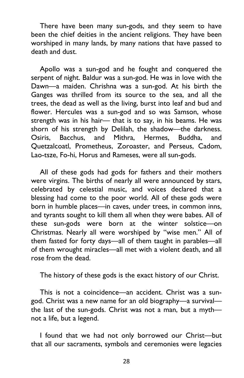There have been many sun-gods, and they seem to have been the chief deities in the ancient religions. They have been worshiped in many lands, by many nations that have passed to death and dust.

Apollo was a sun-god and he fought and conquered the serpent of night. Baldur was a sun-god. He was in love with the Dawn—a maiden. Chrishna was a sun-god. At his birth the Ganges was thrilled from its source to the sea, and all the trees, the dead as well as the living, burst into leaf and bud and flower. Hercules was a sun-god and so was Samson, whose strength was in his hair— that is to say, in his beams. He was shorn of his strength by Delilah, the shadow—the darkness. Osiris, Bacchus, and Mithra, Hermes, Buddha, and Quetzalcoatl, Prometheus, Zoroaster, and Perseus, Cadom, Lao-tsze, Fo-hi, Horus and Rameses, were all sun-gods.

All of these gods had gods for fathers and their mothers were virgins. The births of nearly all were announced by stars, celebrated by celestial music, and voices declared that a blessing had come to the poor world. All of these gods were born in humble places—in caves, under trees, in common inns, and tyrants sought to kill them all when they were babes. All of these sun-gods were born at the winter solstice—on Christmas. Nearly all were worshiped by "wise men." All of them fasted for forty days—all of them taught in parables—all of them wrought miracles—all met with a violent death, and all rose from the dead.

The history of these gods is the exact history of our Christ.

This is not a coincidence—an accident. Christ was a sungod. Christ was a new name for an old biography—a survival the last of the sun-gods. Christ was not a man, but a myth not a life, but a legend.

I found that we had not only borrowed our Christ—but that all our sacraments, symbols and ceremonies were legacies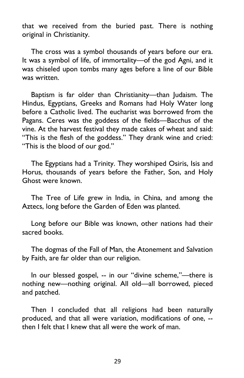that we received from the buried past. There is nothing original in Christianity.

The cross was a symbol thousands of years before our era. It was a symbol of life, of immortality—of the god Agni, and it was chiseled upon tombs many ages before a line of our Bible was written.

Baptism is far older than Christianity—than Judaism. The Hindus, Egyptians, Greeks and Romans had Holy Water long before a Catholic lived. The eucharist was borrowed from the Pagans. Ceres was the goddess of the fields—Bacchus of the vine. At the harvest festival they made cakes of wheat and said: "This is the flesh of the goddess." They drank wine and cried: "This is the blood of our god."

The Egyptians had a Trinity. They worshiped Osiris, Isis and Horus, thousands of years before the Father, Son, and Holy Ghost were known.

The Tree of Life grew in India, in China, and among the Aztecs, long before the Garden of Eden was planted.

Long before our Bible was known, other nations had their sacred books.

The dogmas of the Fall of Man, the Atonement and Salvation by Faith, are far older than our religion.

In our blessed gospel, -- in our "divine scheme,"—there is nothing new—nothing original. All old—all borrowed, pieced and patched.

Then I concluded that all religions had been naturally produced, and that all were variation, modifications of one, - then I felt that I knew that all were the work of man.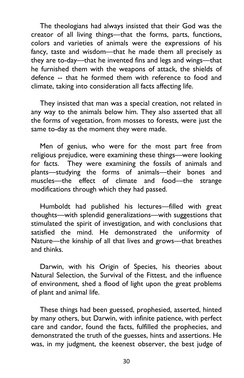The theologians had always insisted that their God was the creator of all living things—that the forms, parts, functions, colors and varieties of animals were the expressions of his fancy, taste and wisdom—that he made them all precisely as they are to-day—that he invented fins and legs and wings—that he furnished them with the weapons of attack, the shields of defence -- that he formed them with reference to food and climate, taking into consideration all facts affecting life.

They insisted that man was a special creation, not related in any way to the animals below him. They also asserted that all the forms of vegetation, from mosses to forests, were just the same to-day as the moment they were made.

Men of genius, who were for the most part free from religious prejudice, were examining these things—were looking for facts. They were examining the fossils of animals and plants—studying the forms of animals—their bones and muscles—the effect of climate and food—the strange modifications through which they had passed.

Humboldt had published his lectures—filled with great thoughts—with splendid generalizations—with suggestions that stimulated the spirit of investigation, and with conclusions that satisfied the mind. He demonstrated the uniformity of Nature—the kinship of all that lives and grows—that breathes and thinks.

Darwin, with his Origin of Species, his theories about Natural Selection, the Survival of the Fittest, and the influence of environment, shed a flood of light upon the great problems of plant and animal life.

These things had been guessed, prophesied, asserted, hinted by many others, but Darwin, with infinite patience, with perfect care and candor, found the facts, fulfilled the prophecies, and demonstrated the truth of the guesses, hints and assertions. He was, in my judgment, the keenest observer, the best judge of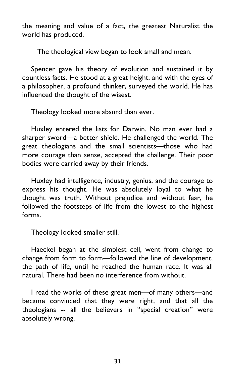the meaning and value of a fact, the greatest Naturalist the world has produced.

The theological view began to look small and mean.

Spencer gave his theory of evolution and sustained it by countless facts. He stood at a great height, and with the eyes of a philosopher, a profound thinker, surveyed the world. He has influenced the thought of the wisest.

Theology looked more absurd than ever.

Huxley entered the lists for Darwin. No man ever had a sharper sword—a better shield. He challenged the world. The great theologians and the small scientists—those who had more courage than sense, accepted the challenge. Their poor bodies were carried away by their friends.

Huxley had intelligence, industry, genius, and the courage to express his thought. He was absolutely loyal to what he thought was truth. Without prejudice and without fear, he followed the footsteps of life from the lowest to the highest forms.

Theology looked smaller still.

Haeckel began at the simplest cell, went from change to change from form to form—followed the line of development, the path of life, until he reached the human race. It was all natural. There had been no interference from without.

I read the works of these great men—of many others—and became convinced that they were right, and that all the theologians -- all the believers in "special creation" were absolutely wrong.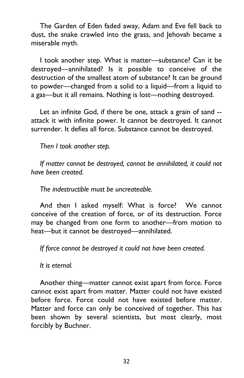The Garden of Eden faded away, Adam and Eve fell back to dust, the snake crawled into the grass, and Jehovah became a miserable myth.

I took another step. What is matter—substance? Can it be destroyed—annihilated? Is it possible to conceive of the destruction of the smallest atom of substance? It can be ground to powder—changed from a solid to a liquid—from a liquid to a gas—but it all remains. Nothing is lost—nothing destroyed.

Let an infinite God, if there be one, attack a grain of sand - attack it with infinite power. It cannot be destroyed. It cannot surrender. It defies all force. Substance cannot be destroyed.

*Then I took another step.*

*If matter cannot be destroyed, cannot be annihilated, it could not have been created.*

*The indestructible must be uncreateable.*

And then I asked myself: What is force? We cannot conceive of the creation of force, or of its destruction. Force may be changed from one form to another—from motion to heat—but it cannot be destroyed—annihilated.

*If force cannot be destroyed it could not have been created.*

*It is eternal.*

Another thing—matter cannot exist apart from force. Force cannot exist apart from matter. Matter could not have existed before force. Force could not have existed before matter. Matter and force can only be conceived of together. This has been shown by several scientists, but most clearly, most forcibly by Buchner.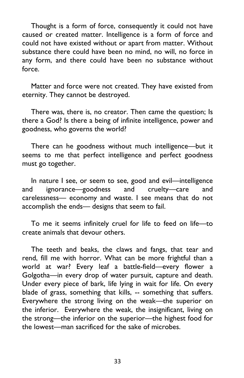Thought is a form of force, consequently it could not have caused or created matter. Intelligence is a form of force and could not have existed without or apart from matter. Without substance there could have been no mind, no will, no force in any form, and there could have been no substance without force.

Matter and force were not created. They have existed from eternity. They cannot be destroyed.

There was, there is, no creator. Then came the question; Is there a God? Is there a being of infinite intelligence, power and goodness, who governs the world?

There can he goodness without much intelligence—but it seems to me that perfect intelligence and perfect goodness must go together.

In nature I see, or seem to see, good and evil—intelligence and ignorance—goodness and cruelty—care and carelessness— economy and waste. I see means that do not accomplish the ends— designs that seem to fail.

To me it seems infinitely cruel for life to feed on life—to create animals that devour others.

The teeth and beaks, the claws and fangs, that tear and rend, fill me with horror. What can be more frightful than a world at war? Every leaf a battle-field—every flower a Golgotha—in every drop of water pursuit, capture and death. Under every piece of bark, life lying in wait for life. On every blade of grass, something that kills, -- something that suffers. Everywhere the strong living on the weak—the superior on the inferior. Everywhere the weak, the insignificant, living on the strong—the inferior on the superior—the highest food for the lowest—man sacrificed for the sake of microbes.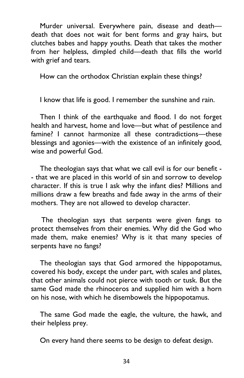Murder universal. Everywhere pain, disease and death death that does not wait for bent forms and gray hairs, but clutches babes and happy youths. Death that takes the mother from her helpless, dimpled child—death that fills the world with grief and tears.

How can the orthodox Christian explain these things?

I know that life is good. I remember the sunshine and rain.

Then I think of the earthquake and flood. I do not forget health and harvest, home and love—but what of pestilence and famine? I cannot harmonize all these contradictions—these blessings and agonies—with the existence of an infinitely good, wise and powerful God.

The theologian says that what we call evil is for our benefit - - that we are placed in this world of sin and sorrow to develop character. If this is true I ask why the infant dies? Millions and millions draw a few breaths and fade away in the arms of their mothers. They are not allowed to develop character.

 The theologian says that serpents were given fangs to protect themselves from their enemies. Why did the God who made them, make enemies? Why is it that many species of serpents have no fangs?

The theologian says that God armored the hippopotamus, covered his body, except the under part, with scales and plates, that other animals could not pierce with tooth or tusk. But the same God made the rhinoceros and supplied him with a horn on his nose, with which he disembowels the hippopotamus.

The same God made the eagle, the vulture, the hawk, and their helpless prey.

On every hand there seems to be design to defeat design.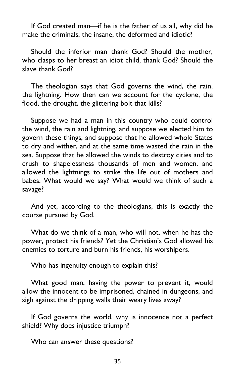If God created man—if he is the father of us all, why did he make the criminals, the insane, the deformed and idiotic?

Should the inferior man thank God? Should the mother, who clasps to her breast an idiot child, thank God? Should the slave thank God?

The theologian says that God governs the wind, the rain, the lightning. How then can we account for the cyclone, the flood, the drought, the glittering bolt that kills?

Suppose we had a man in this country who could control the wind, the rain and lightning, and suppose we elected him to govern these things, and suppose that he allowed whole States to dry and wither, and at the same time wasted the rain in the sea. Suppose that he allowed the winds to destroy cities and to crush to shapelessness thousands of men and women, and allowed the lightnings to strike the life out of mothers and babes. What would we say? What would we think of such a savage?

And yet, according to the theologians, this is exactly the course pursued by God.

What do we think of a man, who will not, when he has the power, protect his friends? Yet the Christian's God allowed his enemies to torture and burn his friends, his worshipers.

Who has ingenuity enough to explain this?

What good man, having the power to prevent it, would allow the innocent to be imprisoned, chained in dungeons, and sigh against the dripping walls their weary lives away?

If God governs the world, why is innocence not a perfect shield? Why does injustice triumph?

Who can answer these questions?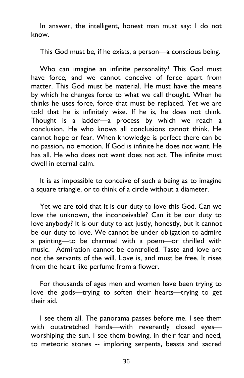In answer, the intelligent, honest man must say: I do not know.

This God must be, if he exists, a person—a conscious being.

Who can imagine an infinite personality? This God must have force, and we cannot conceive of force apart from matter. This God must be material. He must have the means by which he changes force to what we call thought. When he thinks he uses force, force that must be replaced. Yet we are told that he is infinitely wise. If he is, he does not think. Thought is a ladder—a process by which we reach a conclusion. He who knows all conclusions cannot think. He cannot hope or fear. When knowledge is perfect there can be no passion, no emotion. If God is infinite he does not want. He has all. He who does not want does not act. The infinite must dwell in eternal calm.

It is as impossible to conceive of such a being as to imagine a square triangle, or to think of a circle without a diameter.

Yet we are told that it is our duty to love this God. Can we love the unknown, the inconceivable? Can it be our duty to love anybody? It is our duty to act justly, honestly, but it cannot be our duty to love. We cannot be under obligation to admire a painting—to be charmed with a poem—or thrilled with music. Admiration cannot be controlled. Taste and love are not the servants of the will. Love is, and must be free. It rises from the heart like perfume from a flower.

For thousands of ages men and women have been trying to love the gods—trying to soften their hearts—trying to get their aid.

I see them all. The panorama passes before me. I see them with outstretched hands—with reverently closed eyes worshiping the sun. I see them bowing, in their fear and need, to meteoric stones -- imploring serpents, beasts and sacred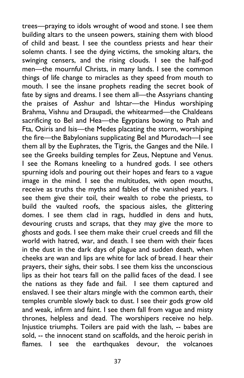trees—praying to idols wrought of wood and stone. I see them building altars to the unseen powers, staining them with blood of child and beast. I see the countless priests and hear their solemn chants. I see the dying victims, the smoking altars, the swinging censers, and the rising clouds. I see the half-god men—the mournful Christs, in many lands. I see the common things of life change to miracles as they speed from mouth to mouth. I see the insane prophets reading the secret book of fate by signs and dreams. I see them all—the Assyrians chanting the praises of Asshur and Ishtar—the Hindus worshiping Brahma, Vishnu and Draupadi, the whitearmed—the Chaldeans sacrificing to Bel and Hea—the Egyptians bowing to Ptah and Fta, Osiris and Isis—the Medes placating the storm, worshiping the fire—the Babylonians supplicating Bel and Murodach—I see them all by the Euphrates, the Tigris, the Ganges and the Nile. I see the Greeks building temples for Zeus, Neptune and Venus. I see the Romans kneeling to a hundred gods. I see others spurning idols and pouring out their hopes and fears to a vague image in the mind. I see the multitudes, with open mouths, receive as truths the myths and fables of the vanished years. I see them give their toil, their wealth to robe the priests, to build the vaulted roofs, the spacious aisles, the glittering domes. I see them clad in rags, huddled in dens and huts, devouring crusts and scraps, that they may give the more to ghosts and gods. I see them make their cruel creeds and fill the world with hatred, war, and death. I see them with their faces in the dust in the dark days of plague and sudden death, when cheeks are wan and lips are white for lack of bread. I hear their prayers, their sighs, their sobs. I see them kiss the unconscious lips as their hot tears fall on the pallid faces of the dead. I see the nations as they fade and fail. I see them captured and enslaved. I see their altars mingle with the common earth, their temples crumble slowly back to dust. I see their gods grow old and weak, infirm and faint. I see them fall from vague and misty thrones, helpless and dead. The worshipers receive no help. Injustice triumphs. Toilers are paid with the lash, -- babes are sold, -- the innocent stand on scaffolds, and the heroic perish in flames. I see the earthquakes devour, the volcanoes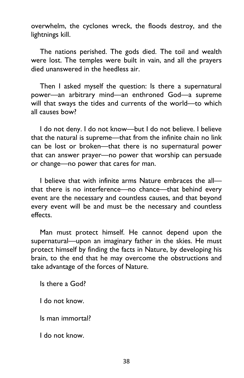overwhelm, the cyclones wreck, the floods destroy, and the lightnings kill.

The nations perished. The gods died. The toil and wealth were lost. The temples were built in vain, and all the prayers died unanswered in the heedless air.

Then I asked myself the question: Is there a supernatural power—an arbitrary mind—an enthroned God—a supreme will that sways the tides and currents of the world—to which all causes bow?

I do not deny. I do not know—but I do not believe. I believe that the natural is supreme—that from the infinite chain no link can be lost or broken—that there is no supernatural power that can answer prayer—no power that worship can persuade or change—no power that cares for man.

I believe that with infinite arms Nature embraces the all that there is no interference—no chance—that behind every event are the necessary and countless causes, and that beyond every event will be and must be the necessary and countless effects.

Man must protect himself. He cannot depend upon the supernatural—upon an imaginary father in the skies. He must protect himself by finding the facts in Nature, by developing his brain, to the end that he may overcome the obstructions and take advantage of the forces of Nature.

Is there a God?

I do not know.

Is man immortal?

I do not know.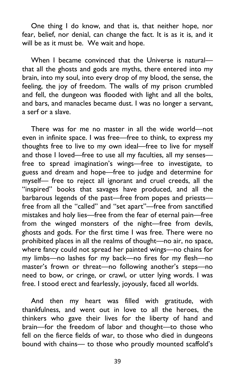One thing I do know, and that is, that neither hope, nor fear, belief, nor denial, can change the fact. It is as it is, and it will be as it must be. We wait and hope.

When I became convinced that the Universe is natural that all the ghosts and gods are myths, there entered into my brain, into my soul, into every drop of my blood, the sense, the feeling, the joy of freedom. The walls of my prison crumbled and fell, the dungeon was flooded with light and all the bolts, and bars, and manacles became dust. I was no longer a servant, a serf or a slave.

There was for me no master in all the wide world—not even in infinite space. I was free—free to think, to express my thoughts free to live to my own ideal—free to live for myself and those I loved—free to use all my faculties, all my senses free to spread imagination's wings—free to investigate, to guess and dream and hope—free to judge and determine for myself— free to reject all ignorant and cruel creeds, all the "inspired" books that savages have produced, and all the barbarous legends of the past—free from popes and priests free from all the "called" and "set apart"—free from sanctified mistakes and holy lies—free from the fear of eternal pain—free from the winged monsters of the night—free from devils, ghosts and gods. For the first time I was free. There were no prohibited places in all the realms of thought—no air, no space, where fancy could not spread her painted wings—no chains for my limbs—no lashes for my back—no fires for my flesh—no master's frown or threat—no following another's steps—no need to bow, or cringe, or crawl, or utter lying words. I was free. I stood erect and fearlessly, joyously, faced all worlds.

And then my heart was filled with gratitude, with thankfulness, and went out in love to all the heroes, the thinkers who gave their lives for the liberty of hand and brain—for the freedom of labor and thought—to those who fell on the fierce fields of war, to those who died in dungeons bound with chains— to those who proudly mounted scaffold's